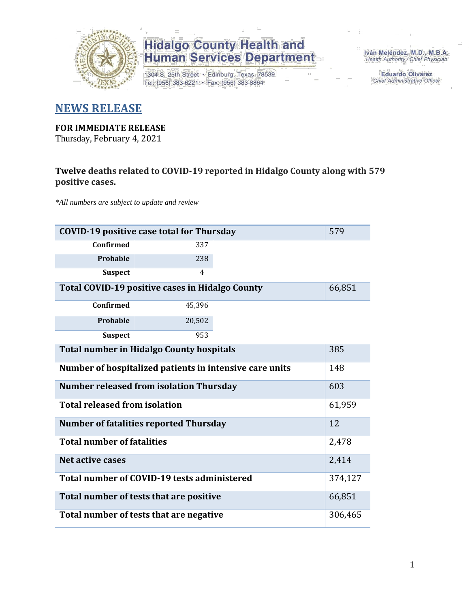

1304 S. 25th Street · Edinburg, Texas 78539 Tel: (956) 383-6221 · Fax: (956) 383-8864

Iván Meléndez, M.D., M.B.A. Health Authority / Chief Physician

> **Eduardo Olivarez** Chief Administrative Officer

#### **NEWS RELEASE**

#### **FOR IMMEDIATE RELEASE**

Thursday, February 4, 2021

#### **Twelve deaths related to COVID-19 reported in Hidalgo County along with 579 positive cases.**

*\*All numbers are subject to update and review*

| 579<br><b>COVID-19 positive case total for Thursday</b>   |                                               |  |         |  |  |  |  |  |  |
|-----------------------------------------------------------|-----------------------------------------------|--|---------|--|--|--|--|--|--|
| <b>Confirmed</b>                                          | 337                                           |  |         |  |  |  |  |  |  |
| <b>Probable</b>                                           | 238                                           |  |         |  |  |  |  |  |  |
| <b>Suspect</b>                                            | $\overline{4}$                                |  |         |  |  |  |  |  |  |
| Total COVID-19 positive cases in Hidalgo County<br>66,851 |                                               |  |         |  |  |  |  |  |  |
| <b>Confirmed</b>                                          | 45,396                                        |  |         |  |  |  |  |  |  |
| <b>Probable</b>                                           | 20,502                                        |  |         |  |  |  |  |  |  |
| <b>Suspect</b>                                            | 953                                           |  |         |  |  |  |  |  |  |
| <b>Total number in Hidalgo County hospitals</b>           |                                               |  |         |  |  |  |  |  |  |
| Number of hospitalized patients in intensive care units   | 148                                           |  |         |  |  |  |  |  |  |
| <b>Number released from isolation Thursday</b>            |                                               |  |         |  |  |  |  |  |  |
| <b>Total released from isolation</b>                      |                                               |  | 61,959  |  |  |  |  |  |  |
|                                                           | <b>Number of fatalities reported Thursday</b> |  | 12      |  |  |  |  |  |  |
| <b>Total number of fatalities</b>                         |                                               |  | 2,478   |  |  |  |  |  |  |
| <b>Net active cases</b>                                   |                                               |  | 2,414   |  |  |  |  |  |  |
|                                                           | Total number of COVID-19 tests administered   |  | 374,127 |  |  |  |  |  |  |
| Total number of tests that are positive<br>66,851         |                                               |  |         |  |  |  |  |  |  |
| Total number of tests that are negative                   |                                               |  |         |  |  |  |  |  |  |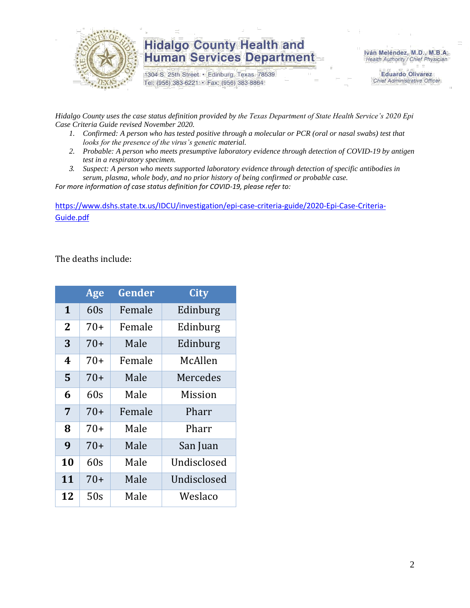

1304 S. 25th Street · Edinburg, Texas 78539 Tel: (956) 383-6221 · Fax: (956) 383-8864

Iván Meléndez, M.D., M.B.A. Health Authority / Chief Physician

> **Eduardo Olivarez** Chief Administrative Officer

*Hidalgo County uses the case status definition provided by the Texas Department of State Health Service's 2020 Epi Case Criteria Guide revised November 2020.*

- *1. Confirmed: A person who has tested positive through a molecular or PCR (oral or nasal swabs) test that looks for the presence of the virus's genetic material.*
- *2. Probable: A person who meets presumptive laboratory evidence through detection of COVID-19 by antigen test in a respiratory specimen.*
- *3. Suspect: A person who meets supported laboratory evidence through detection of specific antibodies in serum, plasma, whole body, and no prior history of being confirmed or probable case.*

*For more information of case status definition for COVID-19, please refer to:*

[https://www.dshs.state.tx.us/IDCU/investigation/epi-case-criteria-guide/2020-Epi-Case-Criteria-](https://www.dshs.state.tx.us/IDCU/investigation/epi-case-criteria-guide/2020-Epi-Case-Criteria-Guide.pdf)[Guide.pdf](https://www.dshs.state.tx.us/IDCU/investigation/epi-case-criteria-guide/2020-Epi-Case-Criteria-Guide.pdf)

The deaths include:

|              | Age   | Gender | City        |
|--------------|-------|--------|-------------|
| $\mathbf 1$  | 60s   | Female | Edinburg    |
| $\mathbf{2}$ | $70+$ | Female | Edinburg    |
| 3            | $70+$ | Male   | Edinburg    |
| 4            | 70+   | Female | McAllen     |
| 5            | $70+$ | Male   | Mercedes    |
| 6            | 60s   | Male   | Mission     |
| 7            | $70+$ | Female | Pharr       |
| 8            | $70+$ | Male   | Pharr       |
| 9            | $70+$ | Male   | San Juan    |
| 10           | 60s   | Male   | Undisclosed |
| 11           | $70+$ | Male   | Undisclosed |
| 12           | 50s   | Male   | Weslaco     |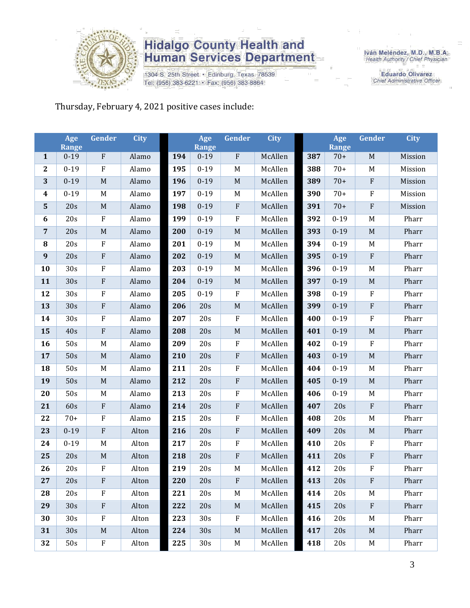

1304 S. 25th Street · Edinburg, Texas 78539 Tel: (956) 383-6221 · Fax: (956) 383-8864

Iván Meléndez, M.D., M.B.A.<br>Health Authority / Chief Physician

**Eduardo Olivarez** Chief Administrative Officer

Thursday, February 4, 2021 positive cases include:

|                         | Age<br><b>Range</b> | Gender                    | <b>City</b> |     | Age<br><b>Range</b> | Gender           | <b>City</b> |     | Age<br><b>Range</b> | Gender       | <b>City</b> |
|-------------------------|---------------------|---------------------------|-------------|-----|---------------------|------------------|-------------|-----|---------------------|--------------|-------------|
| $\mathbf{1}$            | $0 - 19$            | ${\bf F}$                 | Alamo       | 194 | $0 - 19$            | $\rm F$          | McAllen     | 387 | $70+$               | $\mathbf M$  | Mission     |
| $\boldsymbol{2}$        | $0 - 19$            | ${\bf F}$                 | Alamo       | 195 | $0 - 19$            | $\mathbf M$      | McAllen     | 388 | $70+$               | M            | Mission     |
| 3                       | $0 - 19$            | $\mathbf M$               | Alamo       | 196 | $0 - 19$            | $\mathbf M$      | McAllen     | 389 | $70+$               | $\rm F$      | Mission     |
| $\overline{\mathbf{4}}$ | $0 - 19$            | M                         | Alamo       | 197 | $0 - 19$            | M                | McAllen     | 390 | $70+$               | $\rm F$      | Mission     |
| ${\bf 5}$               | 20s                 | $\mathbf M$               | Alamo       | 198 | $0 - 19$            | $\rm F$          | McAllen     | 391 | $70+$               | ${\bf F}$    | Mission     |
| 6                       | 20s                 | ${\bf F}$                 | Alamo       | 199 | $0 - 19$            | $\rm F$          | McAllen     | 392 | $0 - 19$            | M            | Pharr       |
| $\overline{7}$          | 20s                 | $\mathbf M$               | Alamo       | 200 | $0 - 19$            | $\mathbf M$      | McAllen     | 393 | $0 - 19$            | $\mathbf M$  | Pharr       |
| ${\bf 8}$               | 20s                 | ${\bf F}$                 | Alamo       | 201 | $0 - 19$            | $\mathbf M$      | McAllen     | 394 | $0 - 19$            | M            | Pharr       |
| $\boldsymbol{9}$        | 20s                 | ${\bf F}$                 | Alamo       | 202 | $0 - 19$            | $\mathbf M$      | McAllen     | 395 | $0 - 19$            | $\mathbf{F}$ | Pharr       |
| 10                      | 30s                 | F                         | Alamo       | 203 | $0 - 19$            | $\mathbf M$      | McAllen     | 396 | $0 - 19$            | M            | Pharr       |
| 11                      | 30s                 | ${\bf F}$                 | Alamo       | 204 | $0 - 19$            | $\mathbf M$      | McAllen     | 397 | $0 - 19$            | $\mathbf M$  | Pharr       |
| 12                      | 30s                 | ${\bf F}$                 | Alamo       | 205 | $0 - 19$            | $\rm F$          | McAllen     | 398 | $0 - 19$            | $\rm F$      | Pharr       |
| 13                      | 30s                 | ${\bf F}$                 | Alamo       | 206 | 20s                 | $\mathbf M$      | McAllen     | 399 | $0 - 19$            | $\rm F$      | Pharr       |
| 14                      | 30s                 | ${\bf F}$                 | Alamo       | 207 | 20s                 | $\boldsymbol{F}$ | McAllen     | 400 | $0 - 19$            | $\rm F$      | Pharr       |
| 15                      | 40s                 | ${\bf F}$                 | Alamo       | 208 | 20s                 | $\mathbf M$      | McAllen     | 401 | $0 - 19$            | $\mathbf M$  | Pharr       |
| 16                      | 50s                 | M                         | Alamo       | 209 | 20s                 | $\rm F$          | McAllen     | 402 | $0 - 19$            | $\rm F$      | Pharr       |
| 17                      | 50s                 | $\mathbf M$               | Alamo       | 210 | 20s                 | $\rm F$          | McAllen     | 403 | $0 - 19$            | $\mathbf M$  | Pharr       |
| 18                      | 50s                 | M                         | Alamo       | 211 | 20s                 | $\rm F$          | McAllen     | 404 | $0 - 19$            | M            | Pharr       |
| 19                      | 50s                 | $\mathbf M$               | Alamo       | 212 | 20s                 | ${\bf F}$        | McAllen     | 405 | $0 - 19$            | $\mathbf M$  | Pharr       |
| 20                      | 50s                 | $\mathbf M$               | Alamo       | 213 | 20s                 | $\rm F$          | McAllen     | 406 | $0 - 19$            | $\mathbf M$  | Pharr       |
| 21                      | 60s                 | ${\bf F}$                 | Alamo       | 214 | 20s                 | $\rm F$          | McAllen     | 407 | 20s                 | $\rm F$      | Pharr       |
| 22                      | $70+$               | ${\bf F}$                 | Alamo       | 215 | 20s                 | $\rm F$          | McAllen     | 408 | 20s                 | $\mathbf M$  | Pharr       |
| 23                      | $0 - 19$            | ${\bf F}$                 | Alton       | 216 | 20s                 | ${\bf F}$        | McAllen     | 409 | 20s                 | $\mathbf M$  | Pharr       |
| 24                      | $0 - 19$            | M                         | Alton       | 217 | 20s                 | $\rm F$          | McAllen     | 410 | 20s                 | $\rm F$      | Pharr       |
| 25                      | 20s                 | $\mathbf M$               | Alton       | 218 | 20s                 | $\rm F$          | McAllen     | 411 | 20s                 | $\rm F$      | Pharr       |
| 26                      | 20s                 | ${\bf F}$                 | Alton       | 219 | 20s                 | $\mathbf M$      | McAllen     | 412 | 20s                 | $\rm F$      | Pharr       |
| 27                      | 20s                 | F                         | Alton       | 220 | 20s                 | ${\bf F}$        | McAllen     | 413 | 20s                 | F            | Pharr       |
| 28                      | 20s                 | $\rm F$                   | Alton       | 221 | 20s                 | M                | McAllen     | 414 | 20s                 | M            | Pharr       |
| 29                      | 30s                 | $\boldsymbol{\mathrm{F}}$ | Alton       | 222 | 20s                 | $\mathbf M$      | McAllen     | 415 | 20s                 | $\rm F$      | Pharr       |
| 30                      | 30 <sub>s</sub>     | F                         | Alton       | 223 | 30s                 | $\mathbf{F}$     | McAllen     | 416 | 20s                 | M            | Pharr       |
| 31                      | 30s                 | $\mathbf M$               | Alton       | 224 | 30s                 | $\mathbf M$      | McAllen     | 417 | 20s                 | M            | Pharr       |
| 32                      | 50s                 | ${\bf F}$                 | Alton       | 225 | 30s                 | M                | McAllen     | 418 | 20s                 | M            | Pharr       |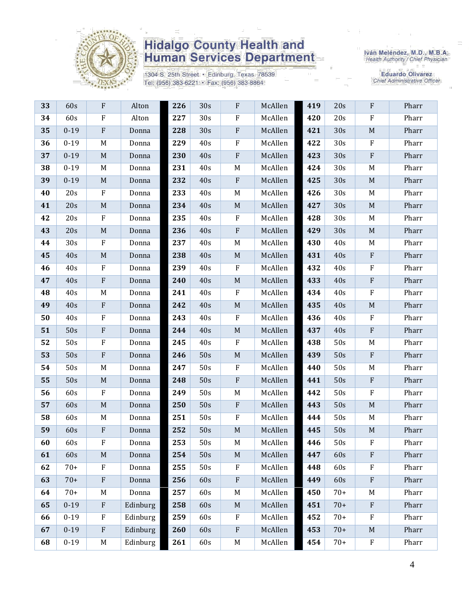

1304 S. 25th Street · Edinburg, Texas 78539 Tel: (956) 383-6221 · Fax: (956) 383-8864

Iván Meléndez, M.D., M.B.A.<br>Health Authority / Chief Physician

**Eduardo Olivarez** Chief Administrative Officer

| 33 | 60s      | $\mathbf{F}$              | Alton    | 226 | 30s             | ${\bf F}$   | McAllen | 419 | 20s   | ${\bf F}$                 | Pharr |
|----|----------|---------------------------|----------|-----|-----------------|-------------|---------|-----|-------|---------------------------|-------|
| 34 | 60s      | $\rm F$                   | Alton    | 227 | 30 <sub>s</sub> | $\rm F$     | McAllen | 420 | 20s   | ${\bf F}$                 | Pharr |
| 35 | $0 - 19$ | $\mathbf{F}$              | Donna    | 228 | 30s             | $\rm F$     | McAllen | 421 | 30s   | $\mathbf M$               | Pharr |
| 36 | $0 - 19$ | M                         | Donna    | 229 | 40s             | ${\bf F}$   | McAllen | 422 | 30s   | $\boldsymbol{\mathrm{F}}$ | Pharr |
| 37 | $0 - 19$ | $\mathbf M$               | Donna    | 230 | 40s             | ${\bf F}$   | McAllen | 423 | 30s   | ${\bf F}$                 | Pharr |
| 38 | $0 - 19$ | M                         | Donna    | 231 | 40s             | M           | McAllen | 424 | 30s   | M                         | Pharr |
| 39 | $0 - 19$ | $\mathbf M$               | Donna    | 232 | 40s             | ${\bf F}$   | McAllen | 425 | 30s   | $\mathbf M$               | Pharr |
| 40 | 20s      | $\mathbf F$               | Donna    | 233 | 40s             | M           | McAllen | 426 | 30s   | M                         | Pharr |
| 41 | 20s      | $\mathbf M$               | Donna    | 234 | 40s             | $\mathbf M$ | McAllen | 427 | 30s   | $\mathbf M$               | Pharr |
| 42 | 20s      | $\mathbf F$               | Donna    | 235 | 40s             | F           | McAllen | 428 | 30s   | M                         | Pharr |
| 43 | 20s      | $\mathbf M$               | Donna    | 236 | 40s             | ${\bf F}$   | McAllen | 429 | 30s   | M                         | Pharr |
| 44 | 30s      | $\rm F$                   | Donna    | 237 | 40s             | M           | McAllen | 430 | 40s   | M                         | Pharr |
| 45 | 40s      | M                         | Donna    | 238 | 40s             | $\mathbf M$ | McAllen | 431 | 40s   | ${\bf F}$                 | Pharr |
| 46 | 40s      | $\mathbf F$               | Donna    | 239 | 40s             | ${\bf F}$   | McAllen | 432 | 40s   | ${\bf F}$                 | Pharr |
| 47 | 40s      | ${\bf F}$                 | Donna    | 240 | 40s             | $\mathbf M$ | McAllen | 433 | 40s   | ${\bf F}$                 | Pharr |
| 48 | 40s      | M                         | Donna    | 241 | 40s             | F           | McAllen | 434 | 40s   | $\boldsymbol{\mathrm{F}}$ | Pharr |
| 49 | 40s      | $\rm F$                   | Donna    | 242 | 40s             | $\mathbf M$ | McAllen | 435 | 40s   | $\mathbf M$               | Pharr |
| 50 | 40s      | $\rm F$                   | Donna    | 243 | 40s             | F           | McAllen | 436 | 40s   | ${\bf F}$                 | Pharr |
| 51 | 50s      | $\boldsymbol{\mathrm{F}}$ | Donna    | 244 | 40s             | $\mathbf M$ | McAllen | 437 | 40s   | ${\bf F}$                 | Pharr |
| 52 | 50s      | $\mathbf F$               | Donna    | 245 | 40s             | $\rm F$     | McAllen | 438 | 50s   | M                         | Pharr |
| 53 | 50s      | $\rm F$                   | Donna    | 246 | 50s             | $\mathbf M$ | McAllen | 439 | 50s   | ${\bf F}$                 | Pharr |
| 54 | 50s      | M                         | Donna    | 247 | 50s             | F           | McAllen | 440 | 50s   | M                         | Pharr |
| 55 | 50s      | $\mathbf M$               | Donna    | 248 | 50s             | ${\bf F}$   | McAllen | 441 | 50s   | $\boldsymbol{\mathrm{F}}$ | Pharr |
| 56 | 60s      | $\mathbf F$               | Donna    | 249 | 50s             | M           | McAllen | 442 | 50s   | ${\bf F}$                 | Pharr |
| 57 | 60s      | $\mathbf M$               | Donna    | 250 | 50s             | ${\bf F}$   | McAllen | 443 | 50s   | $\mathbf M$               | Pharr |
| 58 | 60s      | M                         | Donna    | 251 | 50s             | ${\bf F}$   | McAllen | 444 | 50s   | M                         | Pharr |
| 59 | 60s      | $\boldsymbol{\mathrm{F}}$ | Donna    | 252 | 50s             | $\mathbf M$ | McAllen | 445 | 50s   | M                         | Pharr |
| 60 | 60s      | F                         | Donna    | 253 | 50s             | M           | McAllen | 446 | 50s   | $\boldsymbol{\mathrm{F}}$ | Pharr |
| 61 | 60s      | $\mathbf M$               | Donna    | 254 | 50s             | $\mathbf M$ | McAllen | 447 | 60s   | $\rm F$                   | Pharr |
| 62 | $70+$    | $\mathbf{F}$              | Donna    | 255 | 50s             | $\mathbf F$ | McAllen | 448 | 60s   | $\boldsymbol{\mathrm{F}}$ | Pharr |
| 63 | $70+$    | $\boldsymbol{\mathrm{F}}$ | Donna    | 256 | 60s             | ${\bf F}$   | McAllen | 449 | 60s   | ${\bf F}$                 | Pharr |
| 64 | $70+$    | M                         | Donna    | 257 | 60s             | $\mathbf M$ | McAllen | 450 | $70+$ | M                         | Pharr |
| 65 | $0 - 19$ | $\boldsymbol{\mathrm{F}}$ | Edinburg | 258 | 60s             | $\mathbf M$ | McAllen | 451 | $70+$ | ${\bf F}$                 | Pharr |
| 66 | $0 - 19$ | $\mathbf F$               | Edinburg | 259 | 60s             | F           | McAllen | 452 | $70+$ | $\boldsymbol{\mathrm{F}}$ | Pharr |
| 67 | $0 - 19$ | $\mathbf{F}$              | Edinburg | 260 | 60s             | ${\bf F}$   | McAllen | 453 | $70+$ | $M_{\odot}$               | Pharr |
| 68 | $0 - 19$ | M                         | Edinburg | 261 | 60s             | $\mathbf M$ | McAllen | 454 | $70+$ | ${\bf F}$                 | Pharr |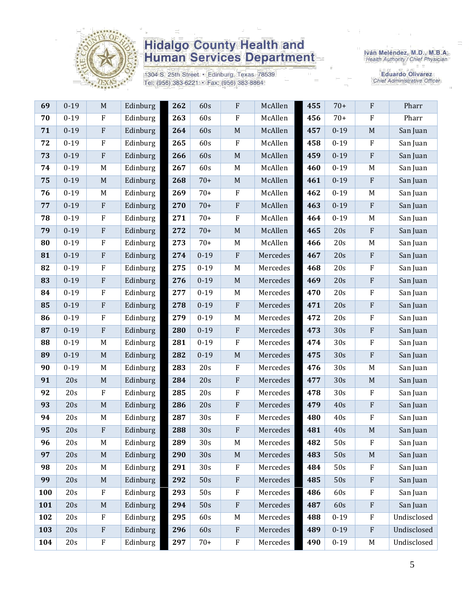

1304 S. 25th Street · Edinburg, Texas 78539 Tel: (956) 383-6221 · Fax: (956) 383-8864

Iván Meléndez, M.D., M.B.A.<br>Health Authority / Chief Physician

**Eduardo Olivarez** Chief Administrative Officer

| 69  | $0 - 19$ | M            | Edinburg | 262 | 60s             | $\rm F$     | McAllen  | 455 | $70+$    | $\rm F$                   | Pharr       |
|-----|----------|--------------|----------|-----|-----------------|-------------|----------|-----|----------|---------------------------|-------------|
| 70  | $0 - 19$ | $\rm F$      | Edinburg | 263 | 60s             | $\rm F$     | McAllen  | 456 | $70+$    | $\rm F$                   | Pharr       |
| 71  | $0 - 19$ | $\rm F$      | Edinburg | 264 | 60s             | $\mathbf M$ | McAllen  | 457 | $0 - 19$ | M                         | San Juan    |
| 72  | $0 - 19$ | $\mathbf{F}$ | Edinburg | 265 | 60s             | $\rm F$     | McAllen  | 458 | $0 - 19$ | $\mathbf F$               | San Juan    |
| 73  | $0 - 19$ | $\rm F$      | Edinburg | 266 | 60s             | $\mathbf M$ | McAllen  | 459 | $0 - 19$ | $\rm F$                   | San Juan    |
| 74  | $0 - 19$ | M            | Edinburg | 267 | 60s             | $M_{\rm}$   | McAllen  | 460 | $0 - 19$ | M                         | San Juan    |
| 75  | $0 - 19$ | M            | Edinburg | 268 | $70+$           | $\mathbf M$ | McAllen  | 461 | $0 - 19$ | $\rm F$                   | San Juan    |
| 76  | $0 - 19$ | M            | Edinburg | 269 | $70+$           | $\rm F$     | McAllen  | 462 | $0 - 19$ | M                         | San Juan    |
| 77  | $0 - 19$ | $\rm F$      | Edinburg | 270 | $70+$           | ${\bf F}$   | McAllen  | 463 | $0 - 19$ | $\, {\bf F}$              | San Juan    |
| 78  | $0 - 19$ | $\mathbf{F}$ | Edinburg | 271 | $70+$           | $\rm F$     | McAllen  | 464 | $0 - 19$ | M                         | San Juan    |
| 79  | $0 - 19$ | $\rm F$      | Edinburg | 272 | $70+$           | $\mathbf M$ | McAllen  | 465 | 20s      | $\rm F$                   | San Juan    |
| 80  | $0 - 19$ | $\rm F$      | Edinburg | 273 | $70+$           | M           | McAllen  | 466 | 20s      | M                         | San Juan    |
| 81  | $0 - 19$ | $\rm F$      | Edinburg | 274 | $0 - 19$        | $\rm F$     | Mercedes | 467 | 20s      | $\mathbf{F}$              | San Juan    |
| 82  | $0 - 19$ | $\mathbf{F}$ | Edinburg | 275 | $0 - 19$        | M           | Mercedes | 468 | 20s      | $\rm F$                   | San Juan    |
| 83  | $0 - 19$ | $\rm F$      | Edinburg | 276 | $0 - 19$        | $\mathbf M$ | Mercedes | 469 | 20s      | $\boldsymbol{\mathrm{F}}$ | San Juan    |
| 84  | $0 - 19$ | $\rm F$      | Edinburg | 277 | $0 - 19$        | M           | Mercedes | 470 | 20s      | $\boldsymbol{\mathrm{F}}$ | San Juan    |
| 85  | $0 - 19$ | $\rm F$      | Edinburg | 278 | $0 - 19$        | ${\bf F}$   | Mercedes | 471 | 20s      | ${\bf F}$                 | San Juan    |
| 86  | $0 - 19$ | $\rm F$      | Edinburg | 279 | $0 - 19$        | $\mathbf M$ | Mercedes | 472 | 20s      | $\rm F$                   | San Juan    |
| 87  | $0 - 19$ | $\rm F$      | Edinburg | 280 | $0 - 19$        | $\rm F$     | Mercedes | 473 | 30s      | $\rm F$                   | San Juan    |
| 88  | $0 - 19$ | $M_{\odot}$  | Edinburg | 281 | $0 - 19$        | $\rm F$     | Mercedes | 474 | 30s      | $\rm F$                   | San Juan    |
| 89  | $0 - 19$ | $\mathbf M$  | Edinburg | 282 | $0 - 19$        | $\mathbf M$ | Mercedes | 475 | 30s      | $\rm F$                   | San Juan    |
| 90  | $0 - 19$ | M            | Edinburg | 283 | 20s             | ${\bf F}$   | Mercedes | 476 | 30s      | M                         | San Juan    |
| 91  | 20s      | $\mathbf M$  | Edinburg | 284 | 20s             | $\rm F$     | Mercedes | 477 | 30s      | $\mathbf M$               | San Juan    |
| 92  | 20s      | $\mathbf{F}$ | Edinburg | 285 | 20s             | $\rm F$     | Mercedes | 478 | 30s      | $\mathbf F$               | San Juan    |
| 93  | 20s      | $\mathbf M$  | Edinburg | 286 | 20s             | ${\bf F}$   | Mercedes | 479 | 40s      | $\rm F$                   | San Juan    |
| 94  | 20s      | M            | Edinburg | 287 | 30s             | ${\bf F}$   | Mercedes | 480 | 40s      | $\rm F$                   | San Juan    |
| 95  | 20s      | ${\bf F}$    | Edinburg | 288 | 30s             | ${\bf F}$   | Mercedes | 481 | 40s      | $\mathbf M$               | San Juan    |
| 96  | 20s      | M            | Edinburg | 289 | 30s             | M           | Mercedes | 482 | 50s      | ${\bf F}$                 | San Juan    |
| 97  | 20s      | M            | Edinburg | 290 | 30s             | $M_{\odot}$ | Mercedes | 483 | 50s      | M                         | San Juan    |
| 98  | 20s      | M            | Edinburg | 291 | 30 <sub>s</sub> | $\rm F$     | Mercedes | 484 | 50s      | $\mathbf F$               | San Juan    |
| 99  | 20s      | M            | Edinburg | 292 | 50s             | ${\bf F}$   | Mercedes | 485 | 50s      | $\rm F$                   | San Juan    |
| 100 | 20s      | $\mathbf{F}$ | Edinburg | 293 | 50s             | ${\bf F}$   | Mercedes | 486 | 60s      | $\rm F$                   | San Juan    |
| 101 | 20s      | $\mathbf M$  | Edinburg | 294 | 50s             | $\rm F$     | Mercedes | 487 | 60s      | ${\bf F}$                 | San Juan    |
| 102 | 20s      | $\mathbf{F}$ | Edinburg | 295 | 60s             | $\mathbf M$ | Mercedes | 488 | $0 - 19$ | $\mathbf{F}$              | Undisclosed |
| 103 | 20s      | $\rm F$      | Edinburg | 296 | 60s             | ${\bf F}$   | Mercedes | 489 | $0 - 19$ | $\rm F$                   | Undisclosed |
| 104 | 20s      | ${\bf F}$    | Edinburg | 297 | $70+$           | ${\bf F}$   | Mercedes | 490 | $0 - 19$ | M                         | Undisclosed |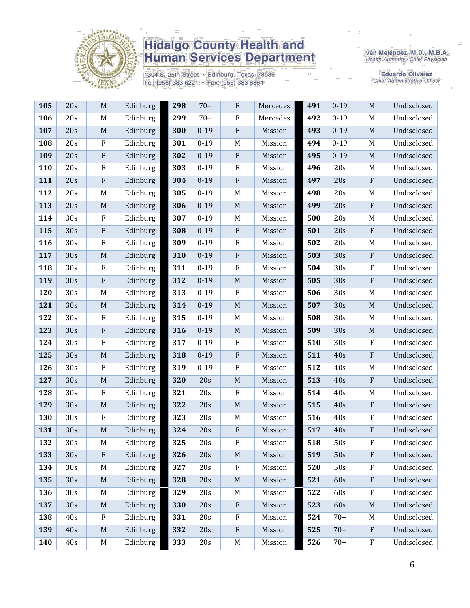

1304 S. 25th Street · Edinburg, Texas 78539 Tel: (956) 383-6221 · Fax: (956) 383-8864

Iván Meléndez, M.D., M.B.A.<br>Health Authority / Chief Physician

**Eduardo Olivarez** Chief Administrative Officer

| 105 | 20s | $\mathbf M$               | Edinburg | 298 | $70+$    | $\mathbf{F}$ | Mercedes | 491 | $0 - 19$ | M            | Undisclosed |
|-----|-----|---------------------------|----------|-----|----------|--------------|----------|-----|----------|--------------|-------------|
| 106 | 20s | M                         | Edinburg | 299 | $70+$    | $\rm F$      | Mercedes | 492 | $0 - 19$ | M            | Undisclosed |
| 107 | 20s | $\mathbf M$               | Edinburg | 300 | $0 - 19$ | $\rm F$      | Mission  | 493 | $0 - 19$ | M            | Undisclosed |
| 108 | 20s | ${\bf F}$                 | Edinburg | 301 | $0 - 19$ | M            | Mission  | 494 | $0 - 19$ | M            | Undisclosed |
| 109 | 20s | ${\bf F}$                 | Edinburg | 302 | $0 - 19$ | $\rm F$      | Mission  | 495 | $0 - 19$ | $\mathbf M$  | Undisclosed |
| 110 | 20s | ${\bf F}$                 | Edinburg | 303 | $0 - 19$ | $\rm F$      | Mission  | 496 | 20s      | M            | Undisclosed |
| 111 | 20s | ${\bf F}$                 | Edinburg | 304 | $0 - 19$ | $\rm F$      | Mission  | 497 | 20s      | ${\bf F}$    | Undisclosed |
| 112 | 20s | M                         | Edinburg | 305 | $0 - 19$ | M            | Mission  | 498 | 20s      | M            | Undisclosed |
| 113 | 20s | $\mathbf M$               | Edinburg | 306 | $0 - 19$ | M            | Mission  | 499 | 20s      | ${\bf F}$    | Undisclosed |
| 114 | 30s | $\rm F$                   | Edinburg | 307 | $0 - 19$ | M            | Mission  | 500 | 20s      | M            | Undisclosed |
| 115 | 30s | ${\bf F}$                 | Edinburg | 308 | $0 - 19$ | $\mathbf{F}$ | Mission  | 501 | 20s      | $\rm F$      | Undisclosed |
| 116 | 30s | ${\bf F}$                 | Edinburg | 309 | $0 - 19$ | $\rm F$      | Mission  | 502 | 20s      | M            | Undisclosed |
| 117 | 30s | $\mathbf M$               | Edinburg | 310 | $0 - 19$ | ${\bf F}$    | Mission  | 503 | 30s      | $\mathbf{F}$ | Undisclosed |
| 118 | 30s | ${\bf F}$                 | Edinburg | 311 | $0 - 19$ | $\mathbf{F}$ | Mission  | 504 | 30s      | $\rm F$      | Undisclosed |
| 119 | 30s | ${\bf F}$                 | Edinburg | 312 | $0 - 19$ | $\mathbf M$  | Mission  | 505 | 30s      | $\rm F$      | Undisclosed |
| 120 | 30s | M                         | Edinburg | 313 | $0 - 19$ | $\rm F$      | Mission  | 506 | 30s      | M            | Undisclosed |
| 121 | 30s | $\mathbf M$               | Edinburg | 314 | $0 - 19$ | M            | Mission  | 507 | 30s      | M            | Undisclosed |
| 122 | 30s | ${\bf F}$                 | Edinburg | 315 | $0 - 19$ | M            | Mission  | 508 | 30s      | M            | Undisclosed |
| 123 | 30s | ${\bf F}$                 | Edinburg | 316 | $0 - 19$ | $\mathbf M$  | Mission  | 509 | 30s      | $\mathbf M$  | Undisclosed |
| 124 | 30s | ${\bf F}$                 | Edinburg | 317 | $0 - 19$ | $\mathbf{F}$ | Mission  | 510 | 30s      | ${\bf F}$    | Undisclosed |
| 125 | 30s | $\mathbf M$               | Edinburg | 318 | $0 - 19$ | $\rm F$      | Mission  | 511 | 40s      | $\rm F$      | Undisclosed |
| 126 | 30s | ${\bf F}$                 | Edinburg | 319 | $0 - 19$ | $\rm F$      | Mission  | 512 | 40s      | M            | Undisclosed |
| 127 | 30s | $\mathbf M$               | Edinburg | 320 | 20s      | $\mathbf M$  | Mission  | 513 | 40s      | ${\bf F}$    | Undisclosed |
| 128 | 30s | F                         | Edinburg | 321 | 20s      | $\rm F$      | Mission  | 514 | 40s      | M            | Undisclosed |
| 129 | 30s | $\mathbf M$               | Edinburg | 322 | 20s      | $\mathbf M$  | Mission  | 515 | 40s      | ${\bf F}$    | Undisclosed |
| 130 | 30s | ${\bf F}$                 | Edinburg | 323 | 20s      | M            | Mission  | 516 | 40s      | $\rm F$      | Undisclosed |
| 131 | 30s | $\mathbf M$               | Edinburg | 324 | 20s      | ${\bf F}$    | Mission  | 517 | 40s      | $\rm F$      | Undisclosed |
| 132 | 30s | M                         | Edinburg | 325 | 20s      | ${\bf F}$    | Mission  | 518 | 50s      | $\rm F$      | Undisclosed |
| 133 | 30s | $\boldsymbol{\mathrm{F}}$ | Edinburg | 326 | 20s      | $\mathbf M$  | Mission  | 519 | 50s      | $\rm F$      | Undisclosed |
| 134 | 30s | M                         | Edinburg | 327 | 20s      | $\rm F$      | Mission  | 520 | 50s      | F            | Undisclosed |
| 135 | 30s | $\mathbf M$               | Edinburg | 328 | 20s      | $\mathbf M$  | Mission  | 521 | 60s      | ${\bf F}$    | Undisclosed |
| 136 | 30s | M                         | Edinburg | 329 | 20s      | M            | Mission  | 522 | 60s      | ${\bf F}$    | Undisclosed |
| 137 | 30s | $\mathbf M$               | Edinburg | 330 | 20s      | $\rm F$      | Mission  | 523 | 60s      | $\mathbf M$  | Undisclosed |
| 138 | 40s | F                         | Edinburg | 331 | 20s      | $\rm F$      | Mission  | 524 | $70+$    | M            | Undisclosed |
| 139 | 40s | $\mathbf M$               | Edinburg | 332 | 20s      | $\rm F$      | Mission  | 525 | $70+$    | ${\bf F}$    | Undisclosed |
| 140 | 40s | M                         | Edinburg | 333 | 20s      | M            | Mission  | 526 | $70+$    | ${\bf F}$    | Undisclosed |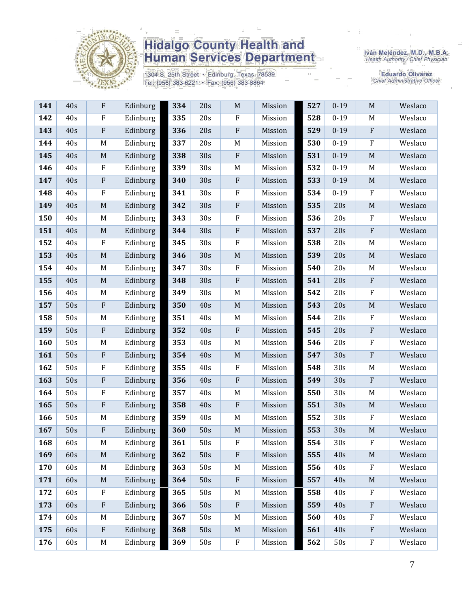

1304 S. 25th Street · Edinburg, Texas 78539 Tel: (956) 383-6221 · Fax: (956) 383-8864

Iván Meléndez, M.D., M.B.A.<br>Health Authority / Chief Physician

Eduardo Olivarez<br>Chief Administrative Officer

| 141 | 40s | ${\bf F}$    | Edinburg | 334 | 20s | $\mathbf M$ | Mission | 527 | $0 - 19$ | $\mathbf M$               | Weslaco |
|-----|-----|--------------|----------|-----|-----|-------------|---------|-----|----------|---------------------------|---------|
| 142 | 40s | $\rm F$      | Edinburg | 335 | 20s | ${\bf F}$   | Mission | 528 | $0 - 19$ | M                         | Weslaco |
| 143 | 40s | $\rm F$      | Edinburg | 336 | 20s | $\rm F$     | Mission | 529 | $0 - 19$ | $\rm F$                   | Weslaco |
| 144 | 40s | M            | Edinburg | 337 | 20s | M           | Mission | 530 | $0 - 19$ | $\boldsymbol{\mathrm{F}}$ | Weslaco |
| 145 | 40s | $\mathbf M$  | Edinburg | 338 | 30s | $\rm F$     | Mission | 531 | $0 - 19$ | $\mathbf M$               | Weslaco |
| 146 | 40s | $\rm F$      | Edinburg | 339 | 30s | $M_{\rm}$   | Mission | 532 | $0 - 19$ | M                         | Weslaco |
| 147 | 40s | $\rm F$      | Edinburg | 340 | 30s | $\rm F$     | Mission | 533 | $0 - 19$ | $\mathbf M$               | Weslaco |
| 148 | 40s | $\rm F$      | Edinburg | 341 | 30s | $\rm F$     | Mission | 534 | $0 - 19$ | $\rm F$                   | Weslaco |
| 149 | 40s | $\mathbf M$  | Edinburg | 342 | 30s | ${\bf F}$   | Mission | 535 | 20s      | $\mathbf M$               | Weslaco |
| 150 | 40s | M            | Edinburg | 343 | 30s | $\rm F$     | Mission | 536 | 20s      | $\rm F$                   | Weslaco |
| 151 | 40s | $\mathbf M$  | Edinburg | 344 | 30s | $\rm F$     | Mission | 537 | 20s      | ${\bf F}$                 | Weslaco |
| 152 | 40s | $\rm F$      | Edinburg | 345 | 30s | $\rm F$     | Mission | 538 | 20s      | M                         | Weslaco |
| 153 | 40s | $\mathbf M$  | Edinburg | 346 | 30s | $\mathbf M$ | Mission | 539 | 20s      | $\mathbf M$               | Weslaco |
| 154 | 40s | M            | Edinburg | 347 | 30s | $\mathbf F$ | Mission | 540 | 20s      | M                         | Weslaco |
| 155 | 40s | $\mathbf M$  | Edinburg | 348 | 30s | ${\bf F}$   | Mission | 541 | 20s      | ${\bf F}$                 | Weslaco |
| 156 | 40s | M            | Edinburg | 349 | 30s | $\mathbf M$ | Mission | 542 | 20s      | ${\bf F}$                 | Weslaco |
| 157 | 50s | ${\bf F}$    | Edinburg | 350 | 40s | $\mathbf M$ | Mission | 543 | 20s      | $\mathbf M$               | Weslaco |
| 158 | 50s | $\mathbf M$  | Edinburg | 351 | 40s | M           | Mission | 544 | 20s      | ${\bf F}$                 | Weslaco |
| 159 | 50s | $\rm F$      | Edinburg | 352 | 40s | $\rm F$     | Mission | 545 | 20s      | ${\bf F}$                 | Weslaco |
| 160 | 50s | M            | Edinburg | 353 | 40s | $\mathbf M$ | Mission | 546 | 20s      | ${\bf F}$                 | Weslaco |
| 161 | 50s | $\rm F$      | Edinburg | 354 | 40s | $\mathbf M$ | Mission | 547 | 30s      | ${\bf F}$                 | Weslaco |
| 162 | 50s | ${\bf F}$    | Edinburg | 355 | 40s | $\rm F$     | Mission | 548 | 30s      | M                         | Weslaco |
| 163 | 50s | $\rm F$      | Edinburg | 356 | 40s | ${\bf F}$   | Mission | 549 | 30s      | ${\bf F}$                 | Weslaco |
| 164 | 50s | $\rm F$      | Edinburg | 357 | 40s | M           | Mission | 550 | 30s      | M                         | Weslaco |
| 165 | 50s | ${\bf F}$    | Edinburg | 358 | 40s | $\rm F$     | Mission | 551 | 30s      | $\mathbf M$               | Weslaco |
| 166 | 50s | M            | Edinburg | 359 | 40s | M           | Mission | 552 | 30s      | $\boldsymbol{\mathrm{F}}$ | Weslaco |
| 167 | 50s | $\mathbf{F}$ | Edinburg | 360 | 50s | $\mathbf M$ | Mission | 553 | 30s      | $\mathbf M$               | Weslaco |
| 168 | 60s | M            | Edinburg | 361 | 50s | ${\bf F}$   | Mission | 554 | 30s      | $\rm F$                   | Weslaco |
| 169 | 60s | M            | Edinburg | 362 | 50s | $\rm F$     | Mission | 555 | 40s      | $\mathbf M$               | Weslaco |
| 170 | 60s | M            | Edinburg | 363 | 50s | $M_{\rm}$   | Mission | 556 | 40s      | $\boldsymbol{\mathrm{F}}$ | Weslaco |
| 171 | 60s | $\mathbf M$  | Edinburg | 364 | 50s | $\rm F$     | Mission | 557 | 40s      | $\mathbf M$               | Weslaco |
| 172 | 60s | $\rm F$      | Edinburg | 365 | 50s | $\mathbf M$ | Mission | 558 | 40s      | $\rm F$                   | Weslaco |
| 173 | 60s | $\rm F$      | Edinburg | 366 | 50s | $\rm F$     | Mission | 559 | 40s      | ${\bf F}$                 | Weslaco |
| 174 | 60s | M            | Edinburg | 367 | 50s | M           | Mission | 560 | 40s      | $\boldsymbol{\mathrm{F}}$ | Weslaco |
| 175 | 60s | ${\bf F}$    | Edinburg | 368 | 50s | $\mathbf M$ | Mission | 561 | 40s      | ${\bf F}$                 | Weslaco |
| 176 | 60s | M            | Edinburg | 369 | 50s | ${\bf F}$   | Mission | 562 | 50s      | ${\bf F}$                 | Weslaco |